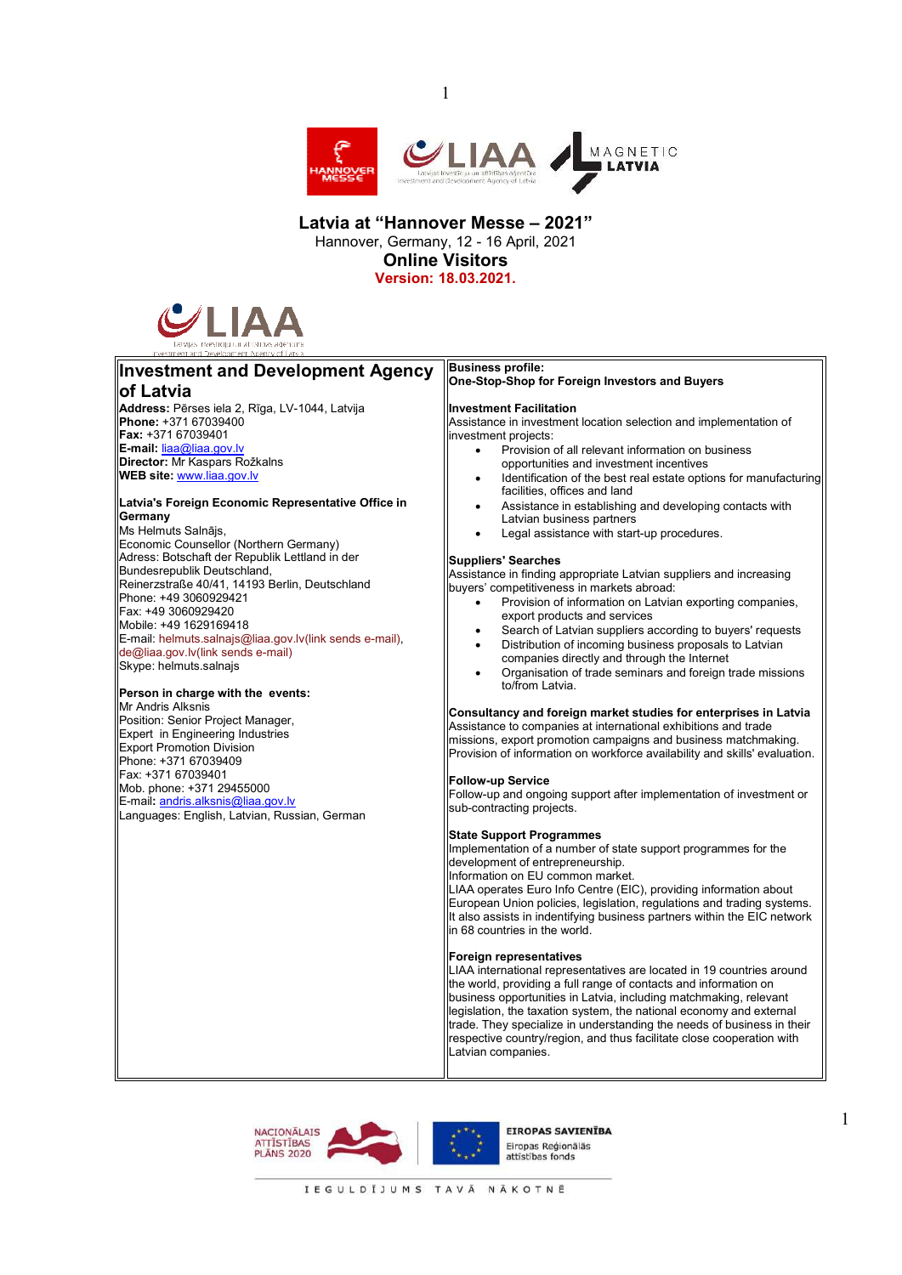

## **Latvia at "Hannover Messe – 2021"**  Hannover, Germany, 12 - 16 April, 2021 **Online Visitors**

1

**Version: 18.03.2021.** 



**Investment and Development Agency** 

#### **of Latvia Address:** Pērses iela 2, Rīga, LV-1044, Latvija **Phone:** +371 67039400 **Fax:** +371 67039401 **E-mail:** liaa@liaa.gov.lv **Director:** Mr Kaspars Rožkalns **WEB site:** www.liaa.gov.lv **Latvia's Foreign Economic Representative Office in Germany**  Ms Helmuts Salnājs, Economic Counsellor (Northern Germany) Adress: Botschaft der Republik Lettland in der Bundesrepublik Deutschland, Reinerzstraße 40/41, 14193 Berlin, Deutschland Phone: +49 3060929421 Fax: +49 3060929420 Mobile: +49 1629169418 E-mail: helmuts.salnajs@liaa.gov.lv(link sends e-mail), de@liaa.gov.lv(link sends e-mail) Skype: helmuts.salnajs **Person in charge with the events:**  Mr Andris Alksnis Position: Senior Project Manager, Expert in Engineering Industries Export Promotion Division Phone: +371 67039409 Fax: +371 67039401 Mob. phone: +371 29455000 E-mail**:** andris.alksnis@liaa.gov.lv Languages: English, Latvian, Russian, German investment projects: **Suppliers' Searches Follow-up Service**

**Business profile: One-Stop-Shop for Foreign Investors and Buyers** 

#### **Investment Facilitation**

Assistance in investment location selection and implementation of

- Provision of all relevant information on business opportunities and investment incentives
- Identification of the best real estate options for manufacturing facilities, offices and land
- Assistance in establishing and developing contacts with Latvian business partners
- Legal assistance with start-up procedures.

Assistance in finding appropriate Latvian suppliers and increasing buyers' competitiveness in markets abroad:

- Provision of information on Latvian exporting companies, export products and services
- Search of Latvian suppliers according to buyers' requests Distribution of incoming business proposals to Latvian
- companies directly and through the Internet
- Organisation of trade seminars and foreign trade missions to/from Latvia.

#### **Consultancy and foreign market studies for enterprises in Latvia**

Assistance to companies at international exhibitions and trade missions, export promotion campaigns and business matchmaking. Provision of information on workforce availability and skills' evaluation.

Follow-up and ongoing support after implementation of investment or sub-contracting projects.

# **State Support Programmes**

Implementation of a number of state support programmes for the development of entrepreneurship.

Information on EU common market.

LIAA operates Euro Info Centre (EIC), providing information about European Union policies, legislation, regulations and trading systems. It also assists in indentifying business partners within the EIC network In 68 countries in the world.

#### **Foreign representatives**

LIAA international representatives are located in 19 countries around the world, providing a full range of contacts and information on business opportunities in Latvia, including matchmaking, relevant legislation, the taxation system, the national economy and external trade. They specialize in understanding the needs of business in their respective country/region, and thus facilitate close cooperation with Latvian companies.





EIROPAS SAVIENĪBA Fironas Reójonālās attīstības fond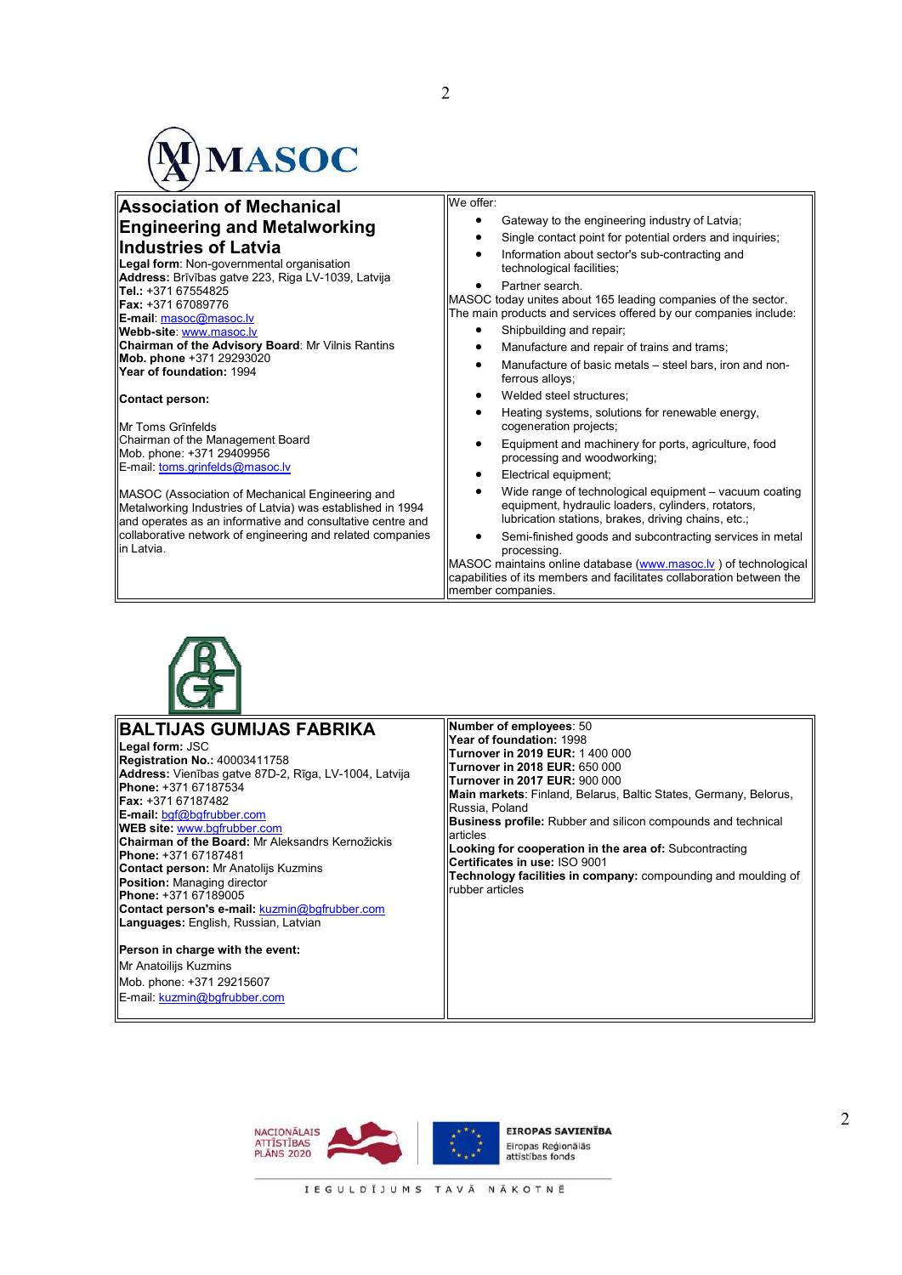

| <b>Association of Mechanical</b>                                                                                                                                             | We offer:                                                                                                                                                                        |
|------------------------------------------------------------------------------------------------------------------------------------------------------------------------------|----------------------------------------------------------------------------------------------------------------------------------------------------------------------------------|
| ∥Engineering and Metalworking                                                                                                                                                | Gateway to the engineering industry of Latvia;                                                                                                                                   |
| ∥Industries of Latvia                                                                                                                                                        | Single contact point for potential orders and inquiries;                                                                                                                         |
| Legal form: Non-governmental organisation<br>Address: Brīvības gatve 223, Riga LV-1039, Latvija                                                                              | Information about sector's sub-contracting and<br>٠<br>technological facilities;                                                                                                 |
| Tel.: +371 67554825<br><b>IFax:</b> +371 67089776<br>E-mail: masoc@masoc.lv                                                                                                  | Partner search.<br>MASOC today unites about 165 leading companies of the sector.<br>The main products and services offered by our companies include:<br>Shipbuilding and repair; |
| Webb-site: www.masoc.lv<br>Chairman of the Advisory Board: Mr Vilnis Rantins                                                                                                 | Manufacture and repair of trains and trams;                                                                                                                                      |
| Mob. phone +371 29293020<br>Year of foundation: 1994                                                                                                                         | Manufacture of basic metals - steel bars, iron and non-<br>ferrous alloys;                                                                                                       |
| Contact person:                                                                                                                                                              | Welded steel structures:<br>٠                                                                                                                                                    |
| <b>IMr Toms Grinfelds</b>                                                                                                                                                    | Heating systems, solutions for renewable energy,<br>cogeneration projects;                                                                                                       |
| Chairman of the Management Board<br>Mob. phone: +371 29409956                                                                                                                | Equipment and machinery for ports, agriculture, food<br>processing and woodworking;                                                                                              |
| E-mail: toms.grinfelds@masoc.lv                                                                                                                                              | Electrical equipment;                                                                                                                                                            |
| MASOC (Association of Mechanical Engineering and<br>Metalworking Industries of Latvia) was established in 1994<br>and operates as an informative and consultative centre and | Wide range of technological equipment – vacuum coating<br>equipment, hydraulic loaders, cylinders, rotators,<br>lubrication stations, brakes, driving chains, etc.;              |
| collaborative network of engineering and related companies<br>lin Latvia.                                                                                                    | Semi-finished goods and subcontracting services in metal<br>processing.                                                                                                          |
|                                                                                                                                                                              | MASOC maintains online database (www.masoc.ly) of technological                                                                                                                  |
|                                                                                                                                                                              | capabilities of its members and facilitates collaboration between the<br>member companies.                                                                                       |



| ∥BALTIJAS GUMIJAS FABRIKA<br>Legal form: JSC<br>Registration No.: 40003411758<br>Address: Vienības gatve 87D-2, Rīga, LV-1004, Latvija<br><b>IPhone: +371 67187534</b><br><b>IFax:</b> +371 67187482<br>$E$ -mail: bgf@bgfrubber.com<br><b>WEB site: www.bgfrubber.com</b><br><b>Chairman of the Board: Mr Aleksandrs Kernožickis</b><br><b>IPhone: +371 67187481</b><br><b>Contact person:</b> Mr Anatolijs Kuzmins<br>Position: Managing director<br><b>IPhone: +371 67189005</b><br><b>Contact person's e-mail: kuzmin@bgfrubber.com</b><br><b>Languages:</b> English, Russian, Latvian | Number of employees: 50<br>Year of foundation: 1998<br>Turnover in 2019 EUR: 1 400 000<br><b>Turnover in 2018 EUR: 650 000</b><br><b>Turnover in 2017 EUR: 900 000</b><br>Main markets: Finland, Belarus, Baltic States, Germany, Belorus,<br>Russia, Poland<br><b>Business profile:</b> Rubber and silicon compounds and technical<br>articles<br>Looking for cooperation in the area of: Subcontracting<br>Certificates in use: ISO 9001<br>Technology facilities in company: compounding and moulding of<br>rubber articles |
|--------------------------------------------------------------------------------------------------------------------------------------------------------------------------------------------------------------------------------------------------------------------------------------------------------------------------------------------------------------------------------------------------------------------------------------------------------------------------------------------------------------------------------------------------------------------------------------------|--------------------------------------------------------------------------------------------------------------------------------------------------------------------------------------------------------------------------------------------------------------------------------------------------------------------------------------------------------------------------------------------------------------------------------------------------------------------------------------------------------------------------------|
| Person in charge with the event:<br><b>Mr Anatoilijs Kuzmins</b><br>Mob. phone: +371 29215607<br>E-mail: kuzmin@bqfrubber.com                                                                                                                                                                                                                                                                                                                                                                                                                                                              |                                                                                                                                                                                                                                                                                                                                                                                                                                                                                                                                |

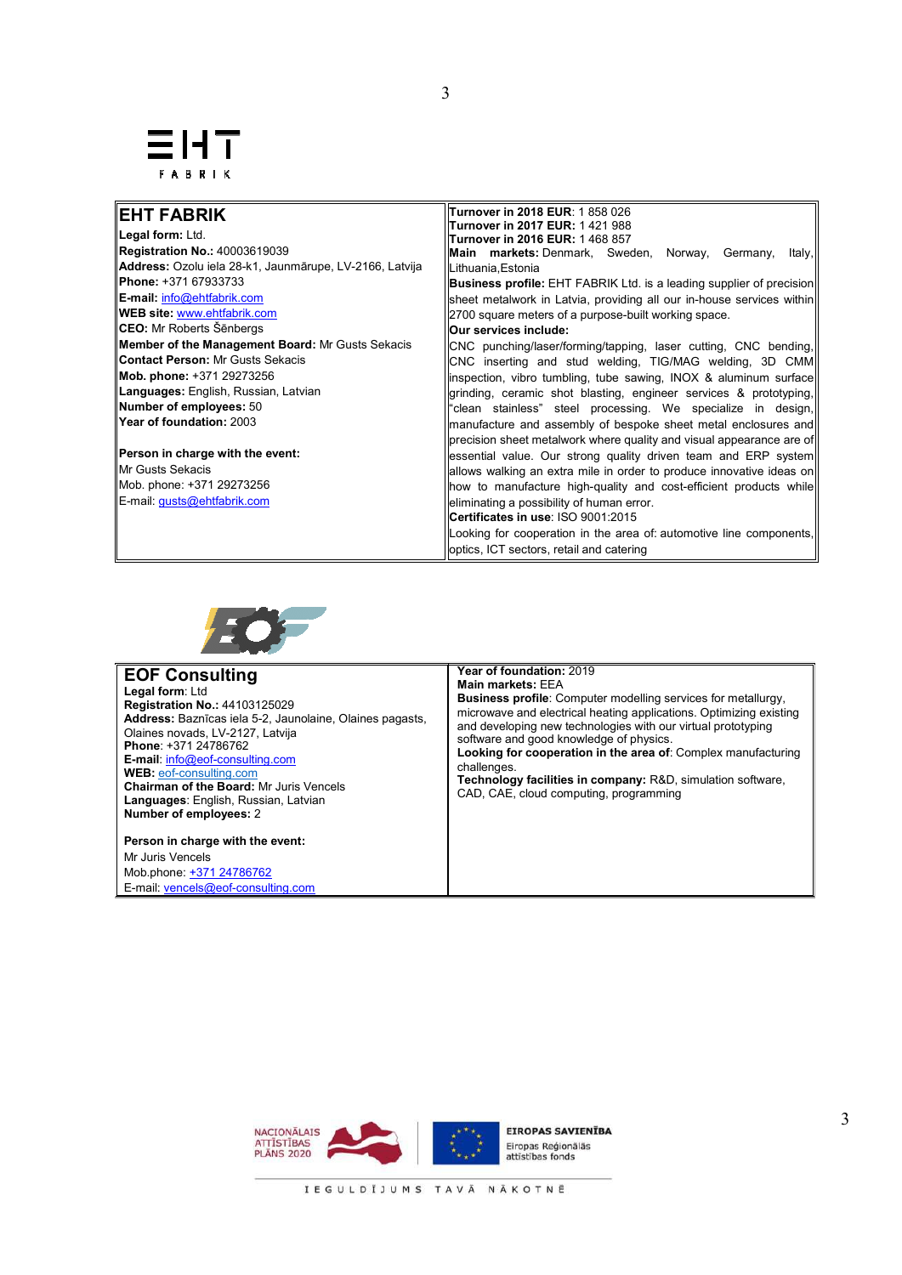# FABRIK

# **EHT FABRIK**

**Legal form:** Ltd. **Registration No.:** 40003619039 **Address:** Ozolu iela 28-k1, Jaunmārupe, LV-2166, Latvija **Phone:** +371 67933733 **E-mail:** info@ehtfabrik.com **WEB site:** www.ehtfabrik.com **CEO:** Mr Roberts Šēnbergs **Member of the Management Board:** Mr Gusts Sekacis **Contact Person:** Mr Gusts Sekacis **Mob. phone:** +371 29273256 **Languages:** English, Russian, Latvian **Number of employees:** 50 **Year of foundation:** 2003

**Person in charge with the event:** Mr Gusts Sekacis Mob. phone: +371 29273256 E-mail: gusts@ehtfabrik.com

**Turnover in 2017 EUR:** 1 421 988 **Turnover in 2016 EUR:** 1 468 857 **Main markets:** Denmark, Sweden, Norway, Germany, Italy, Lithuania,Estonia **Business profile:** EHT FABRIK Ltd. is a leading supplier of precision sheet metalwork in Latvia, providing all our in-house services within 2700 square meters of a purpose-built working space. **Our services include:**  CNC punching/laser/forming/tapping, laser cutting, CNC bending, CNC inserting and stud welding, TIG/MAG welding, 3D CMM inspection, vibro tumbling, tube sawing, INOX & aluminum surface grinding, ceramic shot blasting, engineer services & prototyping, "clean stainless" steel processing. We specialize in design, manufacture and assembly of bespoke sheet metal enclosures and precision sheet metalwork where quality and visual appearance are of essential value. Our strong quality driven team and ERP system

**Turnover in 2018 EUR**: 1 858 026

allows walking an extra mile in order to produce innovative ideas on how to manufacture high-quality and cost-efficient products while eliminating a possibility of human error. **Certificates in use**: ISO 9001:2015

Looking for cooperation in the area of: automotive line components, optics, ICT sectors, retail and catering



# **EOF Consulting**

**Legal form**: Ltd **Registration No.:** 44103125029 **Address:** Baznīcas iela 5-2, Jaunolaine, Olaines pagasts, Olaines novads, LV-2127, Latvija **Phone**: +371 24786762 **E-mail**: info@eof-consulting.com **WEB:** eof-consulting.com **Chairman of the Board:** Mr Juris Vencels **Languages**: English, Russian, Latvian **Number of employees:** 2

**Person in charge with the event:** Mr Juris Vencels Mob.phone: +371 24786762 E-mail: vencels@eof-consulting.com

**Year of foundation:** 2019 **Main markets:** EEA

**Business profile**: Computer modelling services for metallurgy, microwave and electrical heating applications. Optimizing existing and developing new technologies with our virtual prototyping software and good knowledge of physics. **Looking for cooperation in the area of**: Complex manufacturing challenges. **Technology facilities in company:** R&D, simulation software,

CAD, CAE, cloud computing, programming

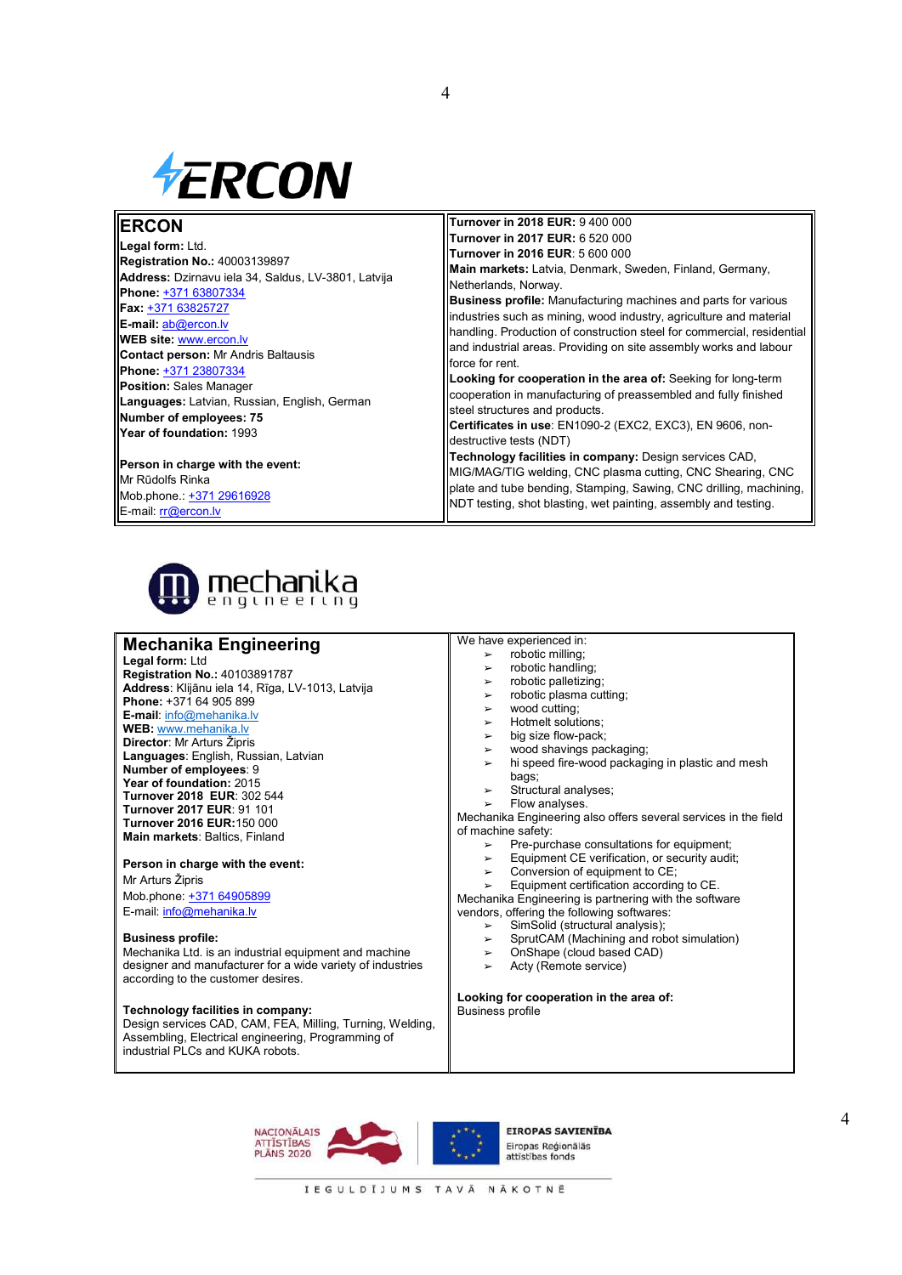

# **ERCON**

**Legal form:** Ltd. **Registration No.:** 40003139897 **Address:** Dzirnavu iela 34, Saldus, LV-3801, Latvija **Phone:** +371 63807334 **Fax:** +371 63825727 **E-mail:** ab@ercon.lv **WEB site:** www.ercon.lv **Contact person:** Mr Andris Baltausis **Phone:** +371 23807334 **Position:** Sales Manager **Languages:** Latvian, Russian, English, German **Number of employees: 75 Year of foundation:** 1993

**Person in charge with the event:** Mr Rūdolfs Rinka Mob.phone.: +371 29616928 E-mail: rr@ercon.lv

> mechanika engineering

# **Mechanika Engineering**

**Legal form:** Ltd **Registration No.:** 40103891787 **Address**: Klijānu iela 14, Rīga, LV-1013, Latvija **Phone:** +371 64 905 899 **E-mail**: info@mehanika.lv **WEB:** www.mehanika.lv **Director**: Mr Arturs Žipris **Languages**: English, Russian, Latvian **Number of employees**: 9 **Year of foundation:** 2015 **Turnover 2018 EUR**: 302 544 **Turnover 2017 EUR**: 91 101 **Turnover 2016 EUR:**150 000 **Main markets**: Baltics, Finland

# **Person in charge with the event:**

Mr Arturs Žipris Mob.phone: +371 64905899 E-mail: info@mehanika.lv

#### **Business profile:**

Mechanika Ltd. is an industrial equipment and machine designer and manufacturer for a wide variety of industries according to the customer desires.

#### **Technology facilities in company:**

Design services CAD, CAM, FEA, Milling, Turning, Welding, Assembling, Electrical engineering, Programming of industrial PLCs and KUKA robots.

**Turnover in 2018 EUR:** 9 400 000 **Turnover in 2017 EUR:** 6 520 000 **Turnover in 2016 EUR**: 5 600 000 **Main markets:** Latvia, Denmark, Sweden, Finland, Germany, Netherlands, Norway. **Business profile:** Manufacturing machines and parts for various industries such as mining, wood industry, agriculture and material handling. Production of construction steel for commercial, residential and industrial areas. Providing on site assembly works and labour force for rent. **Looking for cooperation in the area of:** Seeking for long-term cooperation in manufacturing of preassembled and fully finished steel structures and products. **Certificates in use**: EN1090-2 (EXC2, EXC3), EN 9606, non-

destructive tests (NDT) **Technology facilities in company:** Design services CAD,

MIG/MAG/TIG welding, CNC plasma cutting, CNC Shearing, CNC plate and tube bending, Stamping, Sawing, CNC drilling, machining, NDT testing, shot blasting, wet painting, assembly and testing.

# We have experienced in:

4

# $\ge$  robotic milling;<br> $\ge$  robotic handling

- robotic handling;
- $\triangleright$  robotic palletizing;
- $\frac{1}{2}$  robotic plasma cutting;
- 
- $\geq$  wood cutting;<br> $\geq$  Hotmelt soluti Hotmelt solutions;
- big size flow-pack;
- $\triangleright$  wood shavings packaging;
- hi speed fire-wood packaging in plastic and mesh bags;
- Structural analyses;
- ➢ Flow analyses.

Mechanika Engineering also offers several services in the field of machine safety:

- ► Pre-purchase consultations for equipment;<br>► Pre-purchase consultations for equipment;
- $\triangleright$  Equipment CE verification, or security audit;<br> $\triangleright$  Conversion of equipment to CE:
- Conversion of equipment to CE;
- ➢ Equipment certification according to CE.
- Mechanika Engineering is partnering with the software

vendors, offering the following softwares:

- 
- $\geq$  SimSolid (structural analysis);<br> $\geq$  SprutCAM (Machining and rob
- $\triangleright$  SprutCAM (Machining and robot simulation)<br>  $\triangleright$  OnShape (cloud based CAD) ➢ OnShape (cloud based CAD)
- Acty (Remote service)

#### **Looking for cooperation in the area of:**  Business profile



EIROPAS SAVIENĪBA Fironas Reóionālās attīstības fond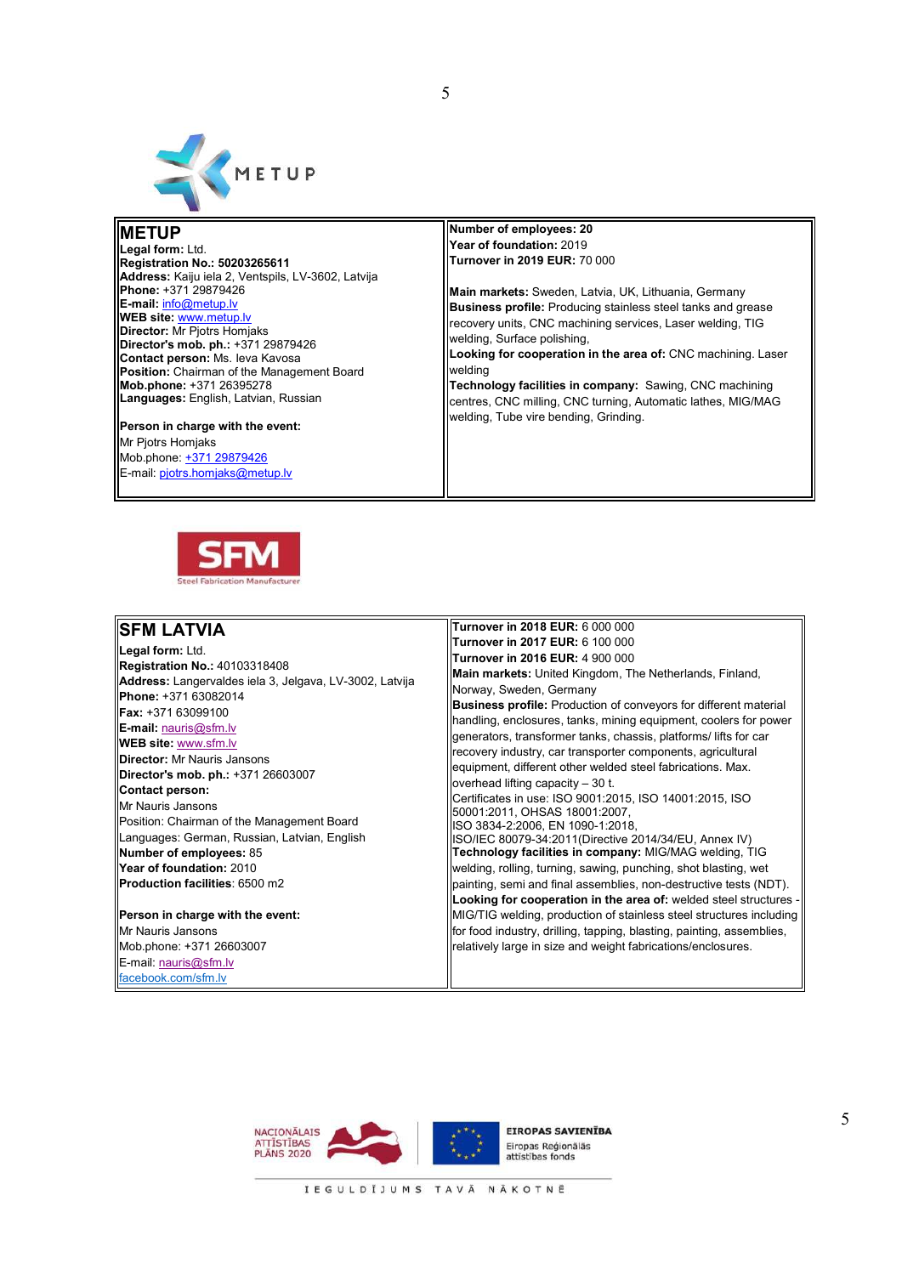

# **METUP**

**Legal form:** Ltd. **Registration No.: 50203265611 Address:** Kaiju iela 2, Ventspils, LV-3602, Latvija **Phone:** +371 29879426 **E-mail:** info@metup.lv **WEB site:** www.metup.lv **Director: Mr Piotrs Homiaks Director's mob. ph.:** +371 29879426 **Contact person:** Ms. Ieva Kavosa **Position:** Chairman of the Management Board **Mob.phone:** +371 26395278 **Languages:** English, Latvian, Russian

#### **Person in charge with the event:** Mr Piotrs Homiaks Mob.phone: +371 29879426

E-mail: pjotrs.homjaks@metup.lv



5

**Main markets:** Sweden, Latvia, UK, Lithuania, Germany **Business profile:** Producing stainless steel tanks and grease recovery units, CNC machining services, Laser welding, TIG welding, Surface polishing,

**Looking for cooperation in the area of:** CNC machining. Laser welding

**Technology facilities in company:** Sawing, CNC machining centres, CNC milling, CNC turning, Automatic lathes, MIG/MAG welding, Tube vire bending, Grinding.



# **SFM LATVIA**

**Legal form:** Ltd. **Registration No.:** 40103318408 **Address:** Langervaldes iela 3, Jelgava, LV-3002, Latvija **Phone:** +371 63082014 **Fax:** +371 63099100 **E-mail:** nauris@sfm.lv **WEB site:** www.sfm.lv **Director:** Mr Nauris Jansons **Director's mob. ph.:** +371 26603007 **Contact person:**  Mr Nauris Jansons Position: Chairman of the Management Board Languages: German, Russian, Latvian, English **Number of employees:** 85 **Year of foundation:** 2010 **Production facilities**: 6500 m2

**Person in charge with the event:** Mr Nauris Jansons Mob.phone: +371 26603007 E-mail: nauris@sfm.lv facebook.com/sfm.lv

**Turnover in 2018 EUR:** 6 000 000 **Turnover in 2017 EUR:** 6 100 000 **Turnover in 2016 EUR:** 4 900 000 **Main markets:** United Kingdom, The Netherlands, Finland, Norway, Sweden, Germany **Business profile:** Production of conveyors for different material handling, enclosures, tanks, mining equipment, coolers for power generators, transformer tanks, chassis, platforms/ lifts for car recovery industry, car transporter components, agricultural equipment, different other welded steel fabrications. Max. overhead lifting capacity – 30 t. Certificates in use: ISO 9001:2015, ISO 14001:2015, ISO 50001:2011, OHSAS 18001:2007, ISO 3834-2:2006, EN 1090-1:2018, ISO/IEC 80079-34:2011(Directive 2014/34/EU, Annex IV) **Technology facilities in company:** MIG/MAG welding, TIG welding, rolling, turning, sawing, punching, shot blasting, wet painting, semi and final assemblies, non-destructive tests (NDT). **Looking for cooperation in the area of:** welded steel structures - MIG/TIG welding, production of stainless steel structures including for food industry, drilling, tapping, blasting, painting, assemblies, relatively large in size and weight fabrications/enclosures.